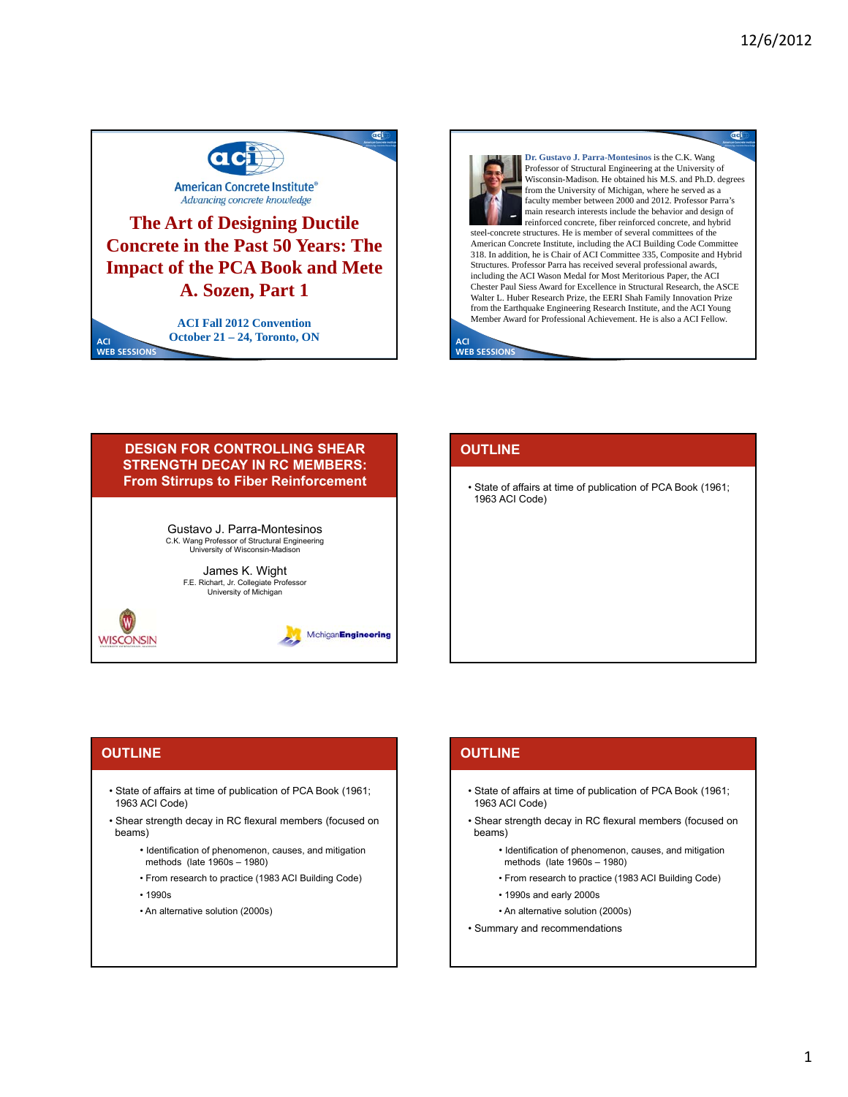

# **The Art of Designing Ductile Concrete in the Past 50 Years: The Impact of the PCA Book and Mete A. Sozen, Part 1**

**WEB SESSIONS ACI Fall 2012 Convention October 21 – 24, Toronto, ON ACI** 



### **DESIGN FOR CONTROLLING SHEAR STRENGTH DECAY IN RC MEMBERS: From Stirrups to Fiber Reinforcement**

Gustavo J. Parra-Montesinos C.K. Wang Professor of Structural Engineering University of Wisconsin-Madison

> James K. Wight F.E. Richart, Jr. Collegiate Professor University of Michigan

> > MichiganEngineering

## **OUTLINE**

• State of affairs at time of publication of PCA Book (1961; 1963 ACI Code)

## **OUTLINE**

**WISCONSIN** 

**ACI** 

- State of affairs at time of publication of PCA Book (1961; 1963 ACI Code)
- Shear strength decay in RC flexural members (focused on beams)
	- Identification of phenomenon, causes, and mitigation methods (late 1960s – 1980)
	- From research to practice (1983 ACI Building Code)
	- 1990s
	- An alternative solution (2000s)

### **OUTLINE**

- State of affairs at time of publication of PCA Book (1961; 1963 ACI Code)
- Shear strength decay in RC flexural members (focused on beams)
	- Identification of phenomenon, causes, and mitigation methods (late 1960s – 1980)
	- From research to practice (1983 ACI Building Code)
	- 1990s and early 2000s
	- An alternative solution (2000s)
- Summary and recommendations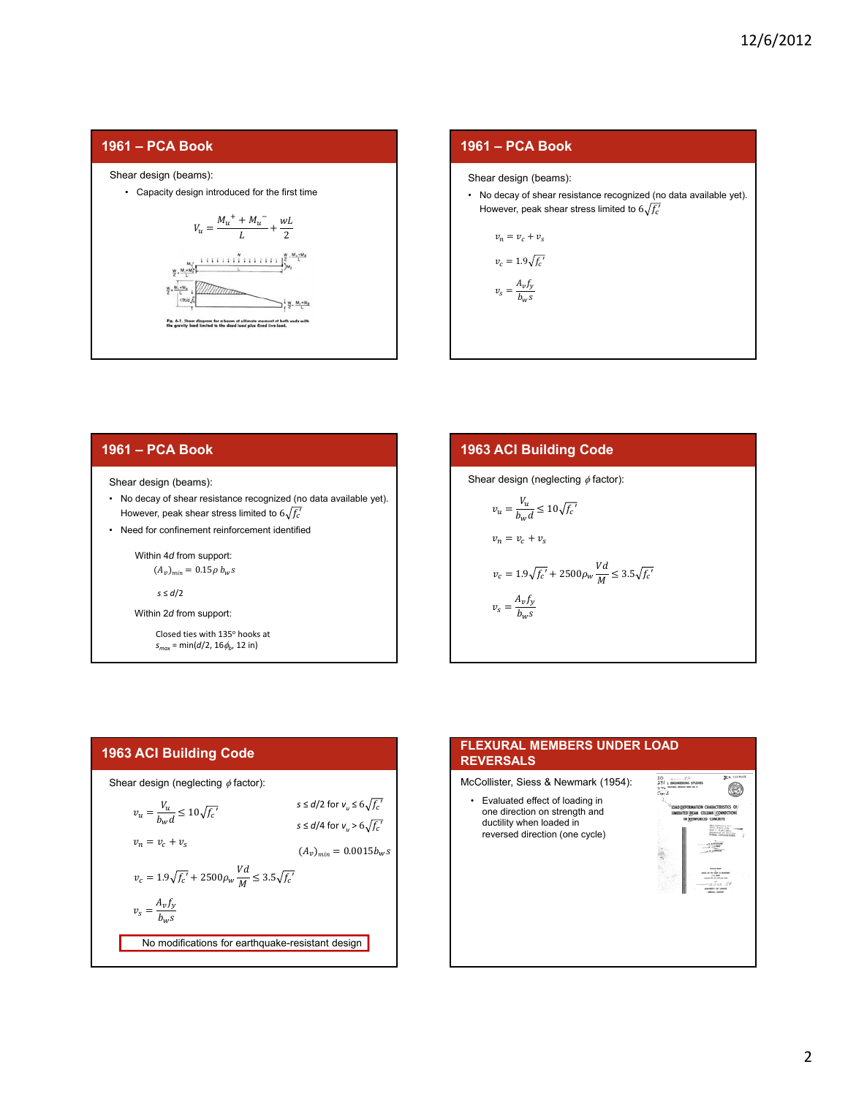



#### **1961 – PCA Book**

Shear design (beams):

- No decay of shear resistance recognized (no data available yet). However, peak shear stress limited to  $6\sqrt{f'_c}$
- Need for confinement reinforcement identified

Within 4*d* from support:

 $(A_v)_{min} = 0.15\rho b_w s$ 

$$
s\leq d/2
$$

Within 2*d* from support:

Closed ties with 135° hooks at  $s_{max} = min(d/2, 16\phi_b, 12 in)$ 

**1963 ACI Building Code**  
\nShear design (neglecting 
$$
\phi
$$
 factor):  
\n
$$
v_u = \frac{V_u}{b_w d} \le 10\sqrt{f_c'}
$$
\n
$$
v_n = v_c + v_s
$$
\n
$$
v_c = 1.9\sqrt{f_c'} + 2500\rho_w \frac{Vd}{M} \le 3.5\sqrt{f_c'}
$$
\n
$$
v_s = \frac{A_v f_y}{b_w s}
$$

#### **1963 ACI Building Code**



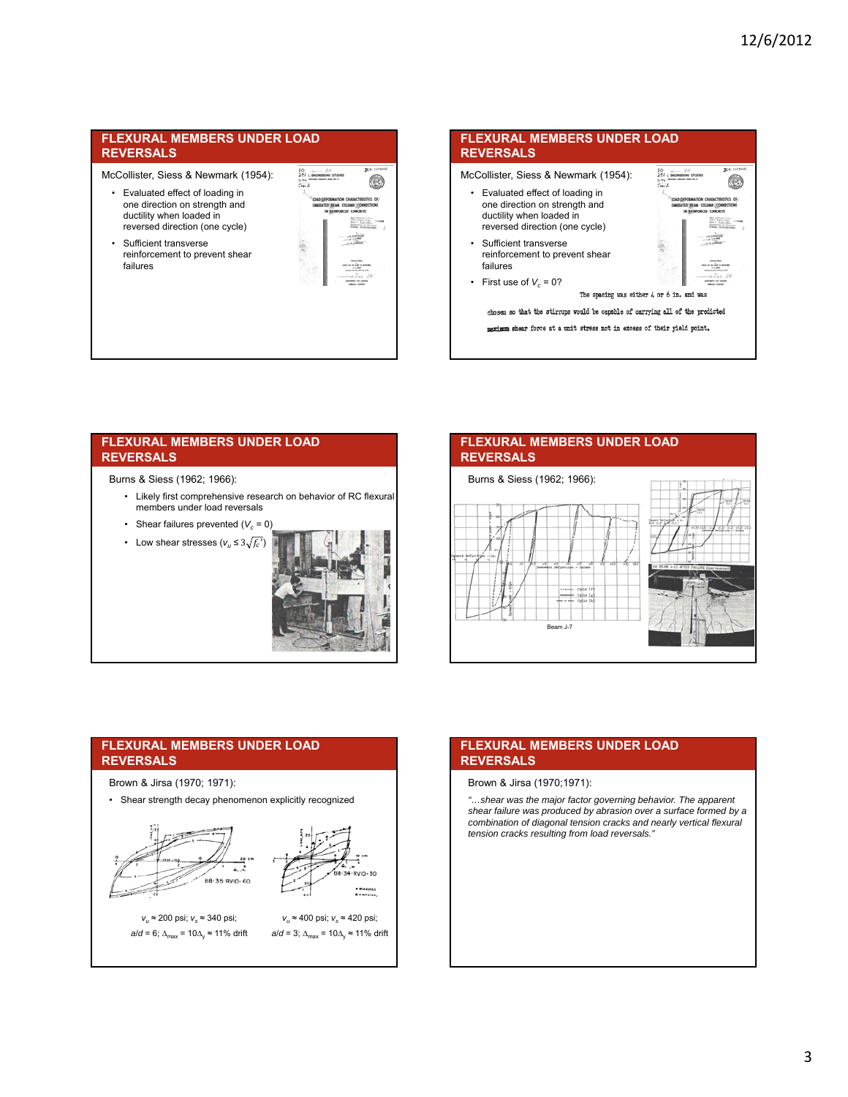McCollister, Siess & Newmark (1954):

- Evaluated effect of loading in one direction on strength and ductility when loaded in reversed direction (one cycle)
- Sufficient transverse reinforcement to prevent shear failures

| <b>N. S. SEVRATE</b><br><b>JOINS</b><br>m ru                                                                                        |
|-------------------------------------------------------------------------------------------------------------------------------------|
| LOAD/DEFORMATION CHARACTERISTICS OF                                                                                                 |
| SIMULATED BEAM COLUMN CONNECTIONS<br>IN REINFORCED CONCRETE                                                                         |
| Brita Balletecow Boon<br>THE Pain city.<br><b>Bills 4 - Rush Lisby</b><br><b>Screening of Hinneys</b><br><b>TAN. Illinois statt</b> |
| <b>A. A. Adams</b><br>be use cars and link                                                                                          |
|                                                                                                                                     |

#### **FLEXURAL MEMBERS UNDER LOAD REVERSALS** y, McCollister, Siess & Newmark (1954): @ • Evaluated effect of loading in one direction on strength and ductility when loaded in reversed direction (one cycle) **START** • Sufficient transverse reinforcement to prevent shear failures  $-1.47$ • First use of  $V_c = 0$ ? The spacing was either 4 or 6 in. and was chosen so that the stirrups would be capable of carrying all of the predicted maximum shear force at a unit stress not in excess of their yield point.

#### **FLEXURAL MEMBERS UNDER LOAD REVERSALS**

#### Burns & Siess (1962; 1966):

- Likely first comprehensive research on behavior of RC flexural members under load reversals
- Shear failures prevented  $(V_c = 0)$
- Low shear stresses  $(v_u \leq 3\sqrt{f_c'})$



## **FLEXURAL MEMBERS UNDER LOAD REVERSALS**



#### **FLEXURAL MEMBERS UNDER LOAD REVERSALS**

- Brown & Jirsa (1970; 1971):
- Shear strength decay phenomenon explicitly recognized



#### **FLEXURAL MEMBERS UNDER LOAD REVERSALS**

#### Brown & Jirsa (1970;1971):

*"…shear was the major factor governing behavior. The apparent shear failure was produced by abrasion over a surface formed by a combination of diagonal tension cracks and nearly vertical flexural tension cracks resulting from load reversals."*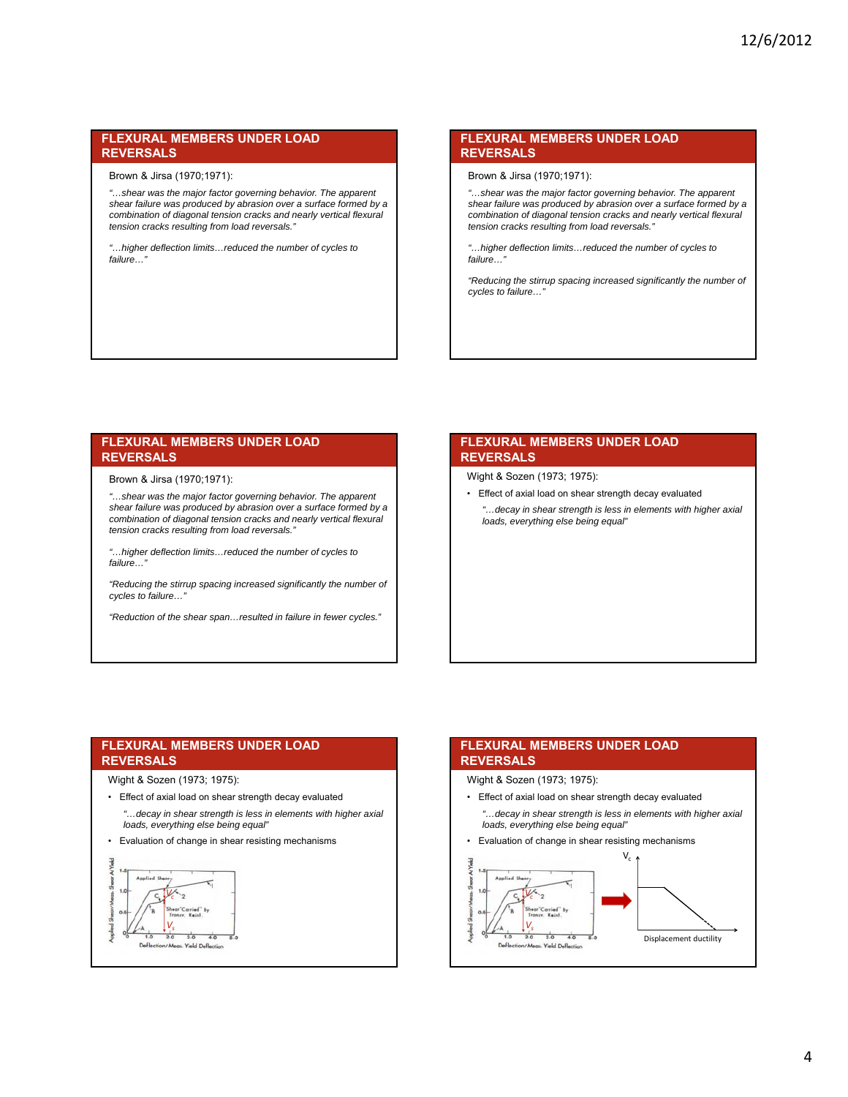Brown & Jirsa (1970;1971):

*"…shear was the major factor governing behavior. The apparent shear failure was produced by abrasion over a surface formed by a combination of diagonal tension cracks and nearly vertical flexural tension cracks resulting from load reversals."*

*"…higher deflection limits…reduced the number of cycles to failure…"*

#### **FLEXURAL MEMBERS UNDER LOAD REVERSALS**

Brown & Jirsa (1970;1971):

*"…shear was the major factor governing behavior. The apparent shear failure was produced by abrasion over a surface formed by a combination of diagonal tension cracks and nearly vertical flexural tension cracks resulting from load reversals."*

*"…higher deflection limits…reduced the number of cycles to failure…"*

*"Reducing the stirrup spacing increased significantly the number of cycles to failure…"*

#### **FLEXURAL MEMBERS UNDER LOAD REVERSALS**

Brown & Jirsa (1970;1971):

*"…shear was the major factor governing behavior. The apparent shear failure was produced by abrasion over a surface formed by a combination of diagonal tension cracks and nearly vertical flexural tension cracks resulting from load reversals."*

*"…higher deflection limits…reduced the number of cycles to failure…"*

*"Reducing the stirrup spacing increased significantly the number of cycles to failure…"*

*"Reduction of the shear span…resulted in failure in fewer cycles."*

#### **FLEXURAL MEMBERS UNDER LOAD REVERSALS**

Wight & Sozen (1973; 1975):

- Effect of axial load on shear strength decay evaluated
	- *"…decay in shear strength is less in elements with higher axial loads, everything else being equal"*

#### **FLEXURAL MEMBERS UNDER LOAD REVERSALS**

#### Wight & Sozen (1973; 1975):

- Effect of axial load on shear strength decay evaluated *"…decay in shear strength is less in elements with higher axial loads, everything else being equal"*
- Evaluation of change in shear resisting mechanisms



### **FLEXURAL MEMBERS UNDER LOAD REVERSALS**

Wight & Sozen (1973; 1975):

• Effect of axial load on shear strength decay evaluated *"…decay in shear strength is less in elements with higher axial loads, everything else being equal"*



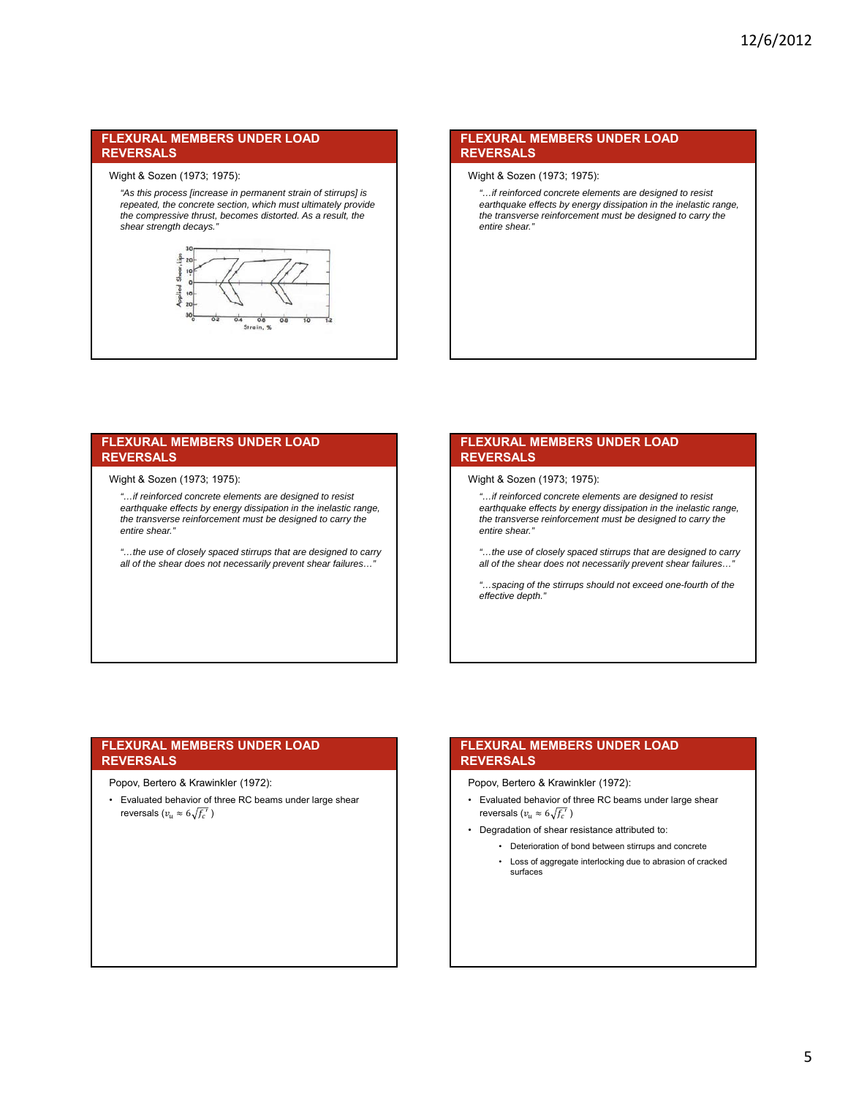#### Wight & Sozen (1973; 1975):

*"As this process [increase in permanent strain of stirrups] is repeated, the concrete section, which must ultimately provide the compressive thrust, becomes distorted. As a result, the shear strength decays."*



#### **FLEXURAL MEMBERS UNDER LOAD REVERSALS**

#### Wight & Sozen (1973; 1975):

*"…if reinforced concrete elements are designed to resist earthquake effects by energy dissipation in the inelastic range, the transverse reinforcement must be designed to carry the entire shear."*

#### **FLEXURAL MEMBERS UNDER LOAD REVERSALS**

#### Wight & Sozen (1973; 1975):

*"…if reinforced concrete elements are designed to resist earthquake effects by energy dissipation in the inelastic range, the transverse reinforcement must be designed to carry the entire shear."*

*"…the use of closely spaced stirrups that are designed to carry all of the shear does not necessarily prevent shear failures…"*

#### **FLEXURAL MEMBERS UNDER LOAD REVERSALS**

#### Wight & Sozen (1973; 1975):

*"…if reinforced concrete elements are designed to resist earthquake effects by energy dissipation in the inelastic range, the transverse reinforcement must be designed to carry the entire shear."*

*"…the use of closely spaced stirrups that are designed to carry all of the shear does not necessarily prevent shear failures…"*

*"…spacing of the stirrups should not exceed one-fourth of the effective depth."*

#### **FLEXURAL MEMBERS UNDER LOAD REVERSALS**

#### Popov, Bertero & Krawinkler (1972):

• Evaluated behavior of three RC beams under large shear reversals  $(v_u \approx 6\sqrt{f_c}^{\prime\prime}$ )

#### **FLEXURAL MEMBERS UNDER LOAD REVERSALS**

Popov, Bertero & Krawinkler (1972):

- Evaluated behavior of three RC beams under large shear reversals ( $v_u \approx 6\sqrt{f_c'}$ )
- Degradation of shear resistance attributed to:
	- Deterioration of bond between stirrups and concrete
	- Loss of aggregate interlocking due to abrasion of cracked surfaces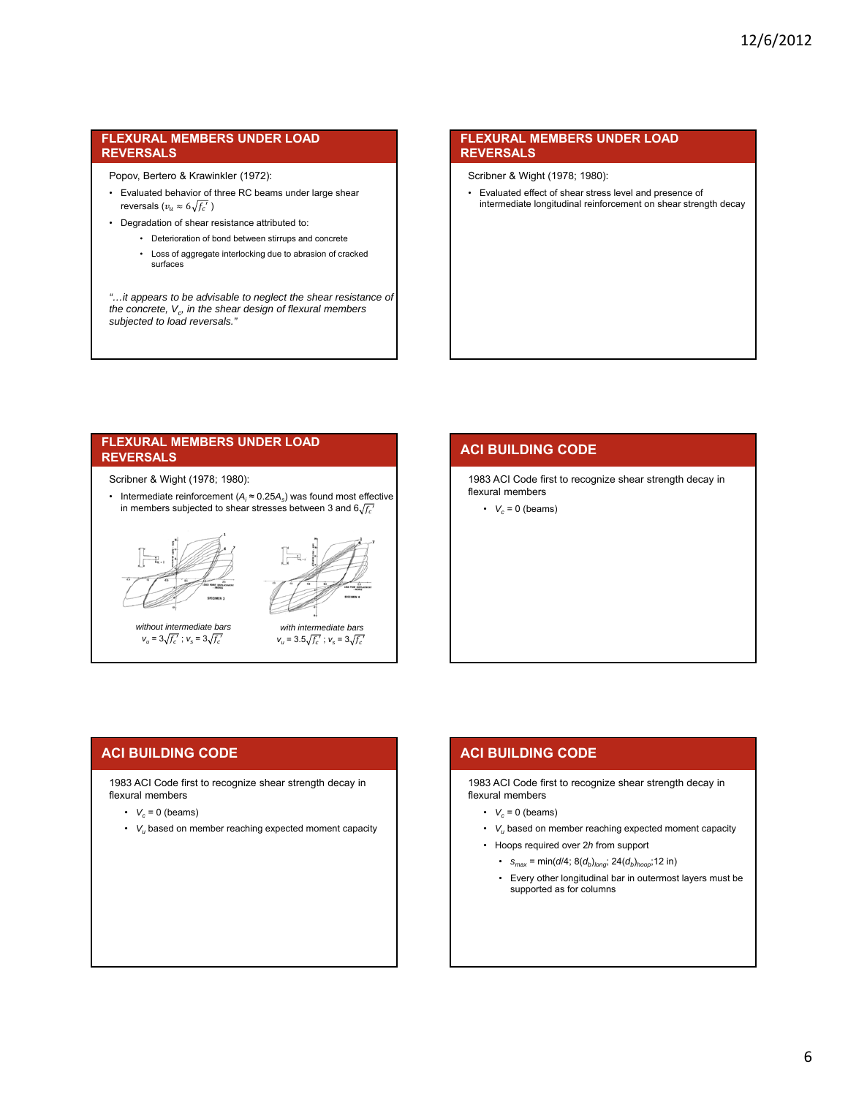Popov, Bertero & Krawinkler (1972):

- Evaluated behavior of three RC beams under large shear reversals ( $v_u \approx 6 \sqrt{f_c'}$ )
- Degradation of shear resistance attributed to:
	- Deterioration of bond between stirrups and concrete
	- Loss of aggregate interlocking due to abrasion of cracked surfaces

*"…it appears to be advisable to neglect the shear resistance of the concrete, Vc, in the shear design of flexural members subjected to load reversals."*

#### **FLEXURAL MEMBERS UNDER LOAD REVERSALS**

Scribner & Wight (1978; 1980):

• Evaluated effect of shear stress level and presence of intermediate longitudinal reinforcement on shear strength decay

#### **FLEXURAL MEMBERS UNDER LOAD REVERSALS**

Scribner & Wight (1978; 1980):

• Intermediate reinforcement (*Ai* ≈ 0.25*As*) was found most effective in members subjected to shear stresses between 3 and  $6\sqrt{f_c'}$ 





*without intermediate bars*   $v_u = 3\sqrt{f_c'}$ ;  $v_s = 3\sqrt{f_c'}$ 



 $v_u = 3.5 \sqrt{f_c'}$ ;  $v_s = 3 \sqrt{f_c'}$ 

## **ACI BUILDING CODE**

1983 ACI Code first to recognize shear strength decay in flexural members

•  $V_c = 0$  (beams)

## **ACI BUILDING CODE**

1983 ACI Code first to recognize shear strength decay in flexural members

- $\cdot$   $V_c = 0$  (beams)
- *Vu* based on member reaching expected moment capacity

## **ACI BUILDING CODE**

1983 ACI Code first to recognize shear strength decay in flexural members

- $\cdot$  *V<sub>c</sub>* = 0 (beams)
- *Vu* based on member reaching expected moment capacity
- Hoops required over 2*h* from support
	- $s_{max} = min(d/4; 8(d_b)_{long}; 24(d_b)_{hoop}; 12 in)$
	- Every other longitudinal bar in outermost layers must be supported as for columns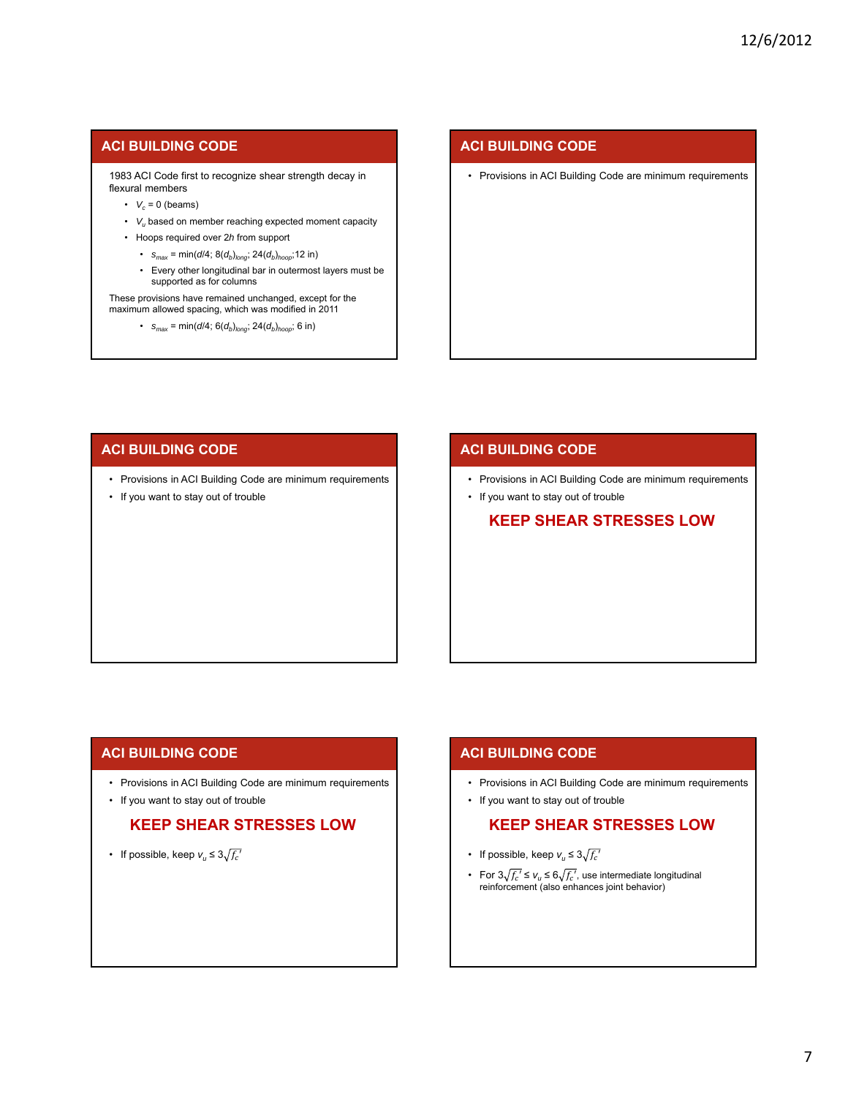### **ACI BUILDING CODE**

1983 ACI Code first to recognize shear strength decay in flexural members

- $V_c = 0$  (beams)
- *Vu* based on member reaching expected moment capacity
- Hoops required over 2*h* from support
	- $s_{max} = min(d/4; 8(d_b)_{long}; 24(d_b)_{hoop}; 12 in)$
	- Every other longitudinal bar in outermost layers must be supported as for columns

These provisions have remained unchanged, except for the maximum allowed spacing, which was modified in 2011

•  $s_{max} = min(d/4; 6(d_b)_{long}; 24(d_b)_{hoop}; 6 in)$ 

### **ACI BUILDING CODE**

• Provisions in ACI Building Code are minimum requirements

### **ACI BUILDING CODE**

- Provisions in ACI Building Code are minimum requirements
- If you want to stay out of trouble

### **ACI BUILDING CODE**

- Provisions in ACI Building Code are minimum requirements
- If you want to stay out of trouble

## **KEEP SHEAR STRESSES LOW**

### **ACI BUILDING CODE**

- Provisions in ACI Building Code are minimum requirements
- If you want to stay out of trouble

## **KEEP SHEAR STRESSES LOW**

• If possible, keep  $v_u \leq 3\sqrt{f_c'}$ 

### **ACI BUILDING CODE**

- Provisions in ACI Building Code are minimum requirements
- If you want to stay out of trouble

## **KEEP SHEAR STRESSES LOW**

- If possible, keep  $v_u \leq 3\sqrt{f_c'}$
- For  $3\sqrt{f_c'} \le v_u \le 6\sqrt{f_c'}$ , use intermediate longitudinal reinforcement (also enhances joint behavior)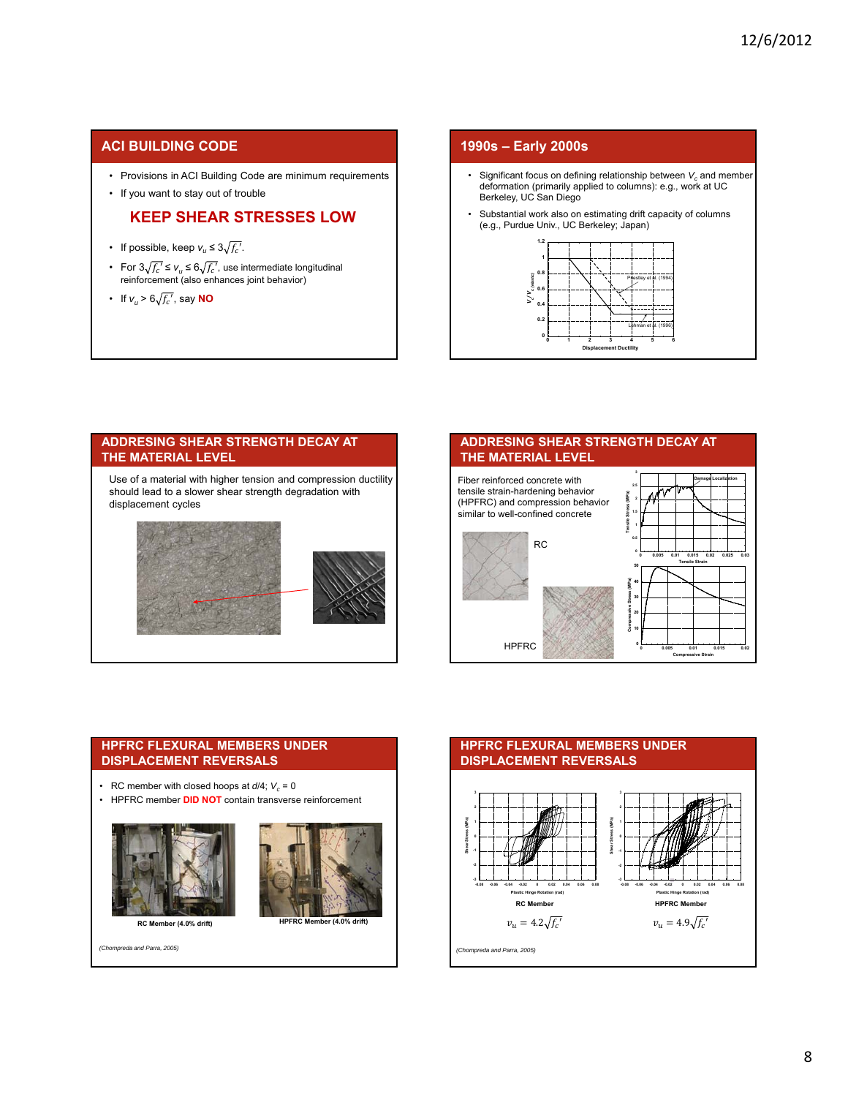### **ACI BUILDING CODE**

- Provisions in ACI Building Code are minimum requirements
- If you want to stay out of trouble

## **KEEP SHEAR STRESSES LOW**

- If possible, keep  $v_u \leq 3\sqrt{f_c'}$ .
- For  $3\sqrt{f_c'} \le v_u \le 6\sqrt{f_c'}$ , use intermediate longitudinal reinforcement (also enhances joint behavior)
- If  $v_u > 6\sqrt{f_c}$ , say **NO**

#### **1990s – Early 2000s**

- Significant focus on defining relationship between  $V_c$  and member deformation (primarily applied to columns): e.g., work at UC Berkeley, UC San Diego
- Substantial work also on estimating drift capacity of columns (e.g., Purdue Univ., UC Berkeley; Japan)



## **ADDRESING SHEAR STRENGTH DECAY AT THE MATERIAL LEVEL** Use of a material with higher tension and compression ductility should lead to a slower shear strength degradation with displacement cycles



### **ADDRESING SHEAR STRENGTH DECAY AT THE MATERIAL LEVEL**



#### **HPFRC FLEXURAL MEMBERS UNDER DISPLACEMENT REVERSALS**

- RC member with closed hoops at  $d/4$ ;  $V_c = 0$
- HPFRC member **DID NOT** contain transverse reinforcement





*(Chompreda and Parra, 2005)*

#### **HPFRC FLEXURAL MEMBERS UNDER DISPLACEMENT REVERSALS 3 3 2 2 Shear Stress (MPa) Shear Stress (MPa) 1 1 0 0** near St **-1 -1 -2 -2 -3 -3 -0.08 -0.06 -0.04 -0.02 0 0.02 0.04 0.06 0.08 -0.08 -0.06 -0.04 -0.02 0 0.02 0.04 0.06 0.08 Plastic Hinge Rotation (rad) Plastic Hinge Rotation (rad) RC Member HPFRC Member**  $v_u = 4.2 \sqrt{f_c'}$   $v_u = 4.9 \sqrt{f_c'}$

*(Chompreda and Parra, 2005)*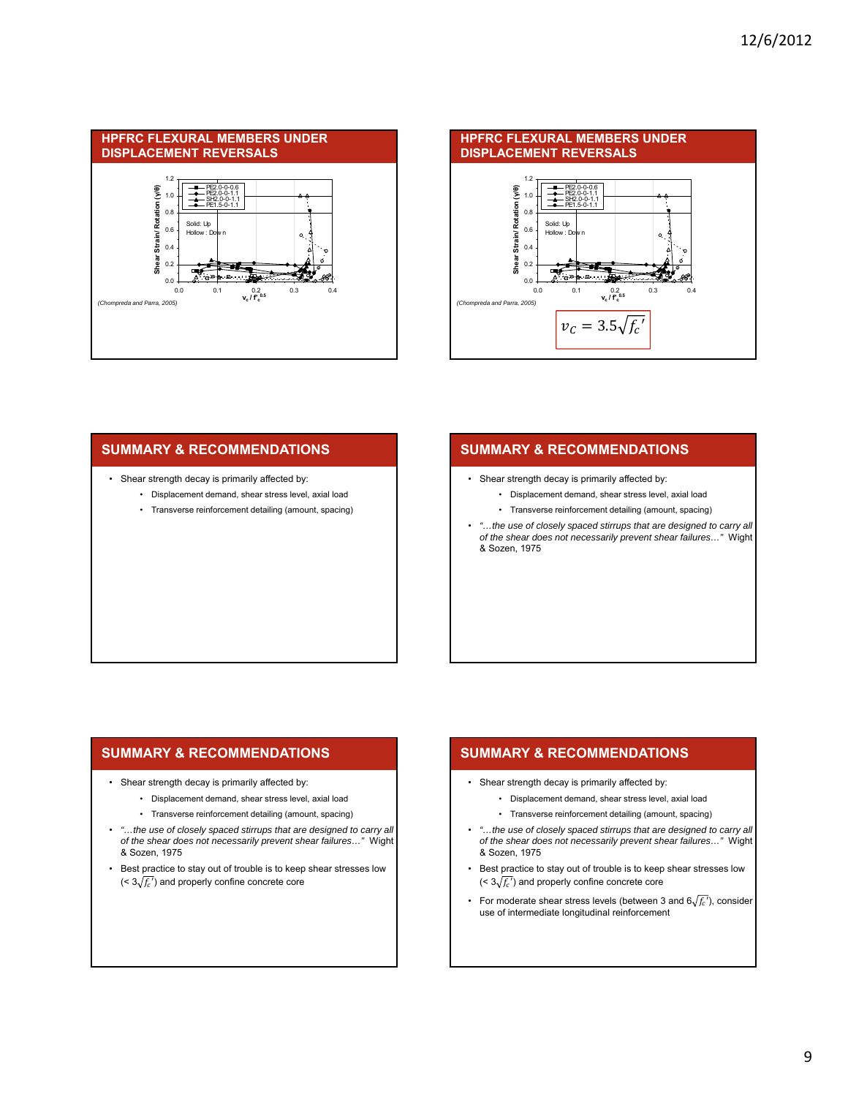



### **SUMMARY & RECOMMENDATIONS**

- Shear strength decay is primarily affected by:
	- Displacement demand, shear stress level, axial load
	- Transverse reinforcement detailing (amount, spacing)

### **SUMMARY & RECOMMENDATIONS**

- Shear strength decay is primarily affected by:
	- Displacement demand, shear stress level, axial load
	- Transverse reinforcement detailing (amount, spacing)
- *"…the use of closely spaced stirrups that are designed to carry all of the shear does not necessarily prevent shear failures…"* Wight & Sozen, 1975

#### **SUMMARY & RECOMMENDATIONS**

- Shear strength decay is primarily affected by:
	- Displacement demand, shear stress level, axial load
	- Transverse reinforcement detailing (amount, spacing)
- *"…the use of closely spaced stirrups that are designed to carry all of the shear does not necessarily prevent shear failures…"* Wight & Sozen, 1975
- Best practice to stay out of trouble is to keep shear stresses low  $(< 3\sqrt{f_c})$  and properly confine concrete core

## **SUMMARY & RECOMMENDATIONS**

- Shear strength decay is primarily affected by:
	- Displacement demand, shear stress level, axial load
	- Transverse reinforcement detailing (amount, spacing)
- *"…the use of closely spaced stirrups that are designed to carry all of the shear does not necessarily prevent shear failures…"* Wight & Sozen, 1975
- Best practice to stay out of trouble is to keep shear stresses low  $( $3\sqrt{f_c}$ )$  and properly confine concrete core
- For moderate shear stress levels (between 3 and  $6\sqrt{f_c}$ ), consider use of intermediate longitudinal reinforcement